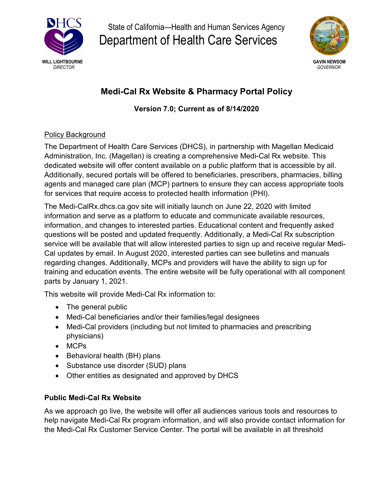

State of California—Health and Human Services Agency Department of Health Care Services



# **Medi-Cal Rx Website & Pharmacy Portal Policy**

# **Version 7.0; Current as of 8/14/2020**

# Policy Background

The Department of Health Care Services (DHCS), in partnership with Magellan Medicaid Administration, Inc. (Magellan) is creating a comprehensive Medi-Cal Rx website. This dedicated website will offer content available on a public platform that is accessible by all. Additionally, secured portals will be offered to beneficiaries, prescribers, pharmacies, billing agents and managed care plan (MCP) partners to ensure they can access appropriate tools for services that require access to protected health information (PHI).

The Medi-CalRx.dhcs.ca.gov site will initially launch on June 22, 2020 with limited information and serve as a platform to educate and communicate available resources, information, and changes to interested parties. Educational content and frequently asked questions will be posted and updated frequently. Additionally, a Medi-Cal Rx subscription service will be available that will allow interested parties to sign up and receive regular Medi-Cal updates by email. In August 2020, interested parties can see bulletins and manuals regarding changes. Additionally, MCPs and providers will have the ability to sign up for training and education events. The entire website will be fully operational with all component parts by January 1, 2021.

This website will provide Medi-Cal Rx information to:

- The general public
- Medi-Cal beneficiaries and/or their families/legal designees
- Medi-Cal providers (including but not limited to pharmacies and prescribing physicians)
- MCPs
- Behavioral health (BH) plans
- Substance use disorder (SUD) plans
- Other entities as designated and approved by DHCS

# **Public Medi-Cal Rx Website**

As we approach go live, the website will offer all audiences various tools and resources to help navigate Medi-Cal Rx program information, and will also provide contact information for the Medi-Cal Rx Customer Service Center. The portal will be available in all threshold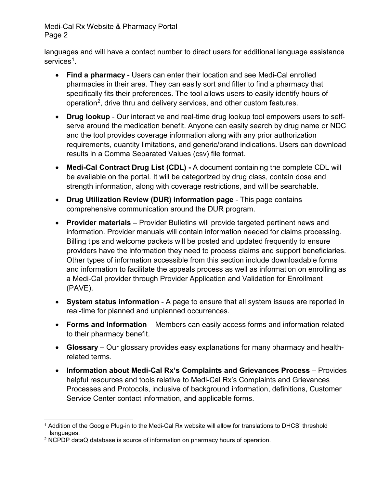languages and will have a contact number to direct users for additional language assistance services<sup>1</sup>.

- **Find a pharmacy** Users can enter their location and see Medi-Cal enrolled pharmacies in their area. They can easily sort and filter to find a pharmacy that specifically fits their preferences. The tool allows users to easily identify hours of operation2, drive thru and delivery services, and other custom features.
- **Drug lookup** Our interactive and real-time drug lookup tool empowers users to selfserve around the medication benefit. Anyone can easily search by drug name or NDC and the tool provides coverage information along with any prior authorization requirements, quantity limitations, and generic/brand indications. Users can download results in a Comma Separated Values (csv) file format.
- **Medi-Cal Contract Drug List (CDL) -** A document containing the complete CDL will be available on the portal. It will be categorized by drug class, contain dose and strength information, along with coverage restrictions, and will be searchable.
- **Drug Utilization Review (DUR) information page** This page contains comprehensive communication around the DUR program.
- **Provider materials** Provider Bulletins will provide targeted pertinent news and information. Provider manuals will contain information needed for claims processing. Billing tips and welcome packets will be posted and updated frequently to ensure providers have the information they need to process claims and support beneficiaries. Other types of information accessible from this section include downloadable forms and information to facilitate the appeals process as well as information on enrolling as a Medi-Cal provider through Provider Application and Validation for Enrollment (PAVE).
- **System status information** A page to ensure that all system issues are reported in real-time for planned and unplanned occurrences.
- **Forms and Information**  Members can easily access forms and information related to their pharmacy benefit.
- **Glossary** Our glossary provides easy explanations for many pharmacy and healthrelated terms.
- **Information about Medi-Cal Rx's Complaints and Grievances Process** Provides helpful resources and tools relative to Medi-Cal Rx's Complaints and Grievances Processes and Protocols, inclusive of background information, definitions, Customer Service Center contact information, and applicable forms.

 $\overline{a}$ <sup>1</sup> Addition of the Google Plug-in to the Medi-Cal Rx website will allow for translations to DHCS' threshold languages.

<sup>2</sup> NCPDP dataQ database is source of information on pharmacy hours of operation.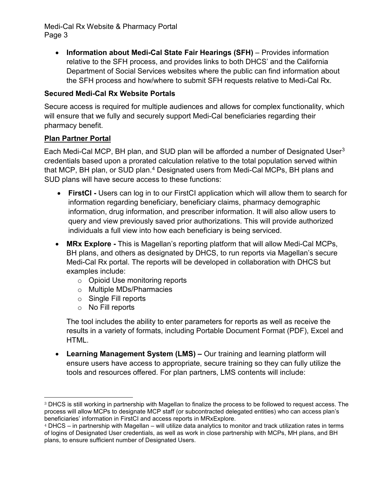• **Information about Medi-Cal State Fair Hearings (SFH)** – Provides information relative to the SFH process, and provides links to both DHCS' and the California Department of Social Services websites where the public can find information about the SFH process and how/where to submit SFH requests relative to Medi-Cal Rx.

#### **Secured Medi-Cal Rx Website Portals**

Secure access is required for multiple audiences and allows for complex functionality, which will ensure that we fully and securely support Medi-Cal beneficiaries regarding their pharmacy benefit.

#### **Plan Partner Portal**

Each Medi-Cal MCP, BH plan, and SUD plan will be afforded a number of Designated User $3$ credentials based upon a prorated calculation relative to the total population served within that MCP, BH plan, or SUD plan.<sup>4</sup> Designated users from Medi-Cal MCPs, BH plans and SUD plans will have secure access to these functions:

- **FirstCI -** Users can log in to our FirstCI application which will allow them to search for information regarding beneficiary, beneficiary claims, pharmacy demographic information, drug information, and prescriber information. It will also allow users to query and view previously saved prior authorizations. This will provide authorized individuals a full view into how each beneficiary is being serviced.
- **MRx Explore -** This is Magellan's reporting platform that will allow Medi-Cal MCPs, BH plans, and others as designated by DHCS, to run reports via Magellan's secure Medi-Cal Rx portal. The reports will be developed in collaboration with DHCS but examples include:
	- o Opioid Use monitoring reports
	- o Multiple MDs/Pharmacies
	- o Single Fill reports
	- o No Fill reports

The tool includes the ability to enter parameters for reports as well as receive the results in a variety of formats, including Portable Document Format (PDF), Excel and HTML.

• **Learning Management System (LMS) –** Our training and learning platform will ensure users have access to appropriate, secure training so they can fully utilize the tools and resources offered. For plan partners, LMS contents will include:

 <sup>3</sup> DHCS is still working in partnership with Magellan to finalize the process to be followed to request access. The process will allow MCPs to designate MCP staff (or subcontracted delegated entities) who can access plan's beneficiaries' information in FirstCI and access reports in MRxExplore.

<sup>4</sup> DHCS – in partnership with Magellan – will utilize data analytics to monitor and track utilization rates in terms of logins of Designated User credentials, as well as work in close partnership with MCPs, MH plans, and BH plans, to ensure sufficient number of Designated Users.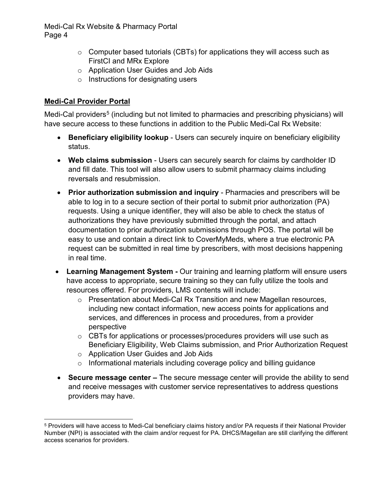- o Computer based tutorials (CBTs) for applications they will access such as FirstCI and MRx Explore
- o Application User Guides and Job Aids
- o Instructions for designating users

# **Medi-Cal Provider Portal**

Medi-Cal providers<sup>5</sup> (including but not limited to pharmacies and prescribing physicians) will have secure access to these functions in addition to the Public Medi-Cal Rx Website:

- **Beneficiary eligibility lookup** Users can securely inquire on beneficiary eligibility status.
- **Web claims submission** Users can securely search for claims by cardholder ID and fill date. This tool will also allow users to submit pharmacy claims including reversals and resubmission.
- **Prior authorization submission and inquiry** Pharmacies and prescribers will be able to log in to a secure section of their portal to submit prior authorization (PA) requests. Using a unique identifier, they will also be able to check the status of authorizations they have previously submitted through the portal, and attach documentation to prior authorization submissions through POS. The portal will be easy to use and contain a direct link to CoverMyMeds, where a true electronic PA request can be submitted in real time by prescribers, with most decisions happening in real time.
- **Learning Management System -** Our training and learning platform will ensure users have access to appropriate, secure training so they can fully utilize the tools and resources offered. For providers, LMS contents will include:
	- o Presentation about Medi-Cal Rx Transition and new Magellan resources, including new contact information, new access points for applications and services, and differences in process and procedures, from a provider perspective
	- o CBTs for applications or processes/procedures providers will use such as Beneficiary Eligibility, Web Claims submission, and Prior Authorization Request
	- o Application User Guides and Job Aids
	- o Informational materials including coverage policy and billing guidance
- **Secure message center –** The secure message center will provide the ability to send and receive messages with customer service representatives to address questions providers may have.

 $\overline{a}$ <sup>5</sup> Providers will have access to Medi-Cal beneficiary claims history and/or PA requests if their National Provider Number (NPI) is associated with the claim and/or request for PA. DHCS/Magellan are still clarifying the different access scenarios for providers.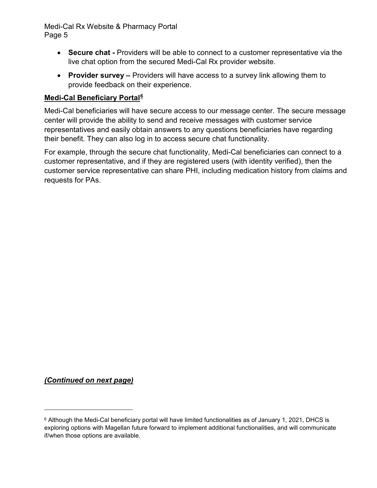- **Secure chat -** Providers will be able to connect to a customer representative via the live chat option from the secured Medi-Cal Rx provider website.
- **Provider survey –** Providers will have access to a survey link allowing them to provide feedback on their experience.

#### **Medi-Cal Beneficiary Portal6**

Medi-Cal beneficiaries will have secure access to our message center. The secure message center will provide the ability to send and receive messages with customer service representatives and easily obtain answers to any questions beneficiaries have regarding their benefit. They can also log in to access secure chat functionality.

For example, through the secure chat functionality, Medi-Cal beneficiaries can connect to a customer representative, and if they are registered users (with identity verified), then the customer service representative can share PHI, including medication history from claims and requests for PAs.

*(Continued on next page)*

<sup>6</sup> Although the Medi-Cal beneficiary portal will have limited functionalities as of January 1, 2021, DHCS is exploring options with Magellan future forward to implement additional functionalities, and will communicate if/when those options are available.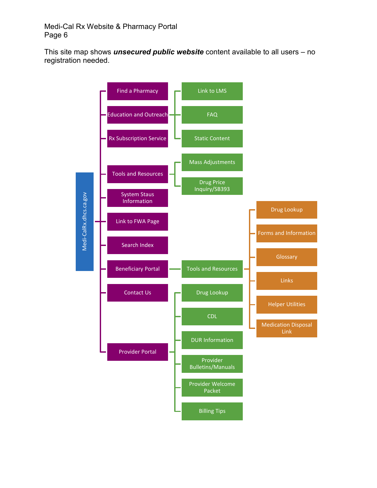This site map shows *unsecured public website* content available to all users – no registration needed.